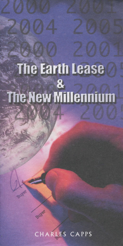## The Earth Lease 8 The New Millennium

CHARLES CAPPS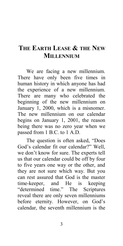## **<sup>1</sup>THE EARTH LEASE & THE NEW MILLENNIUM**

We are facing a new millennium. There have only been five times in human history in which anyone has had the experience of a new millennium. There are many who celebrated the beginning of the new millennium on January 1, 2000, which is a misnomer. The new millennium on our calendar begins on January 1, 2001, the reason being there was no zero year when we passed from 1 B.C. to 1 A.D.

The question is often asked, "Does God's calendar fit our calendar?" Well, we don't know for sure. The experts tell us that our calendar could be off by four to five years one way or the other, and they are not sure which way. But you can rest assured that God is the master time-keeper, and He is keeping "determined time." The Scriptures reveal there are only seven millenniums before eternity. However, on God's calendar, the seventh millennium is the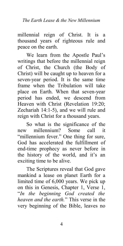millennial reign of Christ. It is a thousand years of righteous rule and peace on the earth.

We learn from the Apostle Paul's writings that before the millennial reign of Christ, the Church (the Body of Christ) will be caught up to heaven for a seven-year period. It is the same time frame when the Tribulation will take place on Earth. When that seven-year period has ended, we descend from Heaven with Christ (Revelation 19:20; Zechariah 14:1-5), and we will rule and reign with Christ for a thousand years.

So what is the significance of the new millennium? Some call it "millennium fever." One thing for sure, God has accelerated the fulfillment of end-time prophecy as never before in the history of the world, and it's an exciting time to be alive.

The Scriptures reveal that God gave mankind a lease on planet Earth for a limited time of 6,000 years. We pick up on this in Genesis, Chapter 1, Verse 1, "*In the beginning God created the heaven and the earth.*" This verse in the very beginning of the Bible, leaves no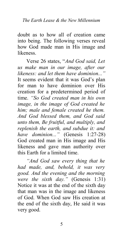doubt as to how all of creation came into being. The following verses reveal how God made man in His image and likeness.

Verse 26 states, "*And God said, Let us make man in our image, after our likeness: and let them have dominion..."* It seems evident that it was God's plan for man to have dominion over His creation for a predetermined period of time. *"So God created man in his own image, in the image of God created he him; male and female created he them. And God blessed them, and God said unto them, Be fruitful, and multiply, and replenish the earth, and subdue it: and have dominion..."* (Genesis 1:27-28) God created man in His image and His likeness and gave man authority over this Earth for a limited time.

*"And God saw every thing that he had made, and, behold, it was very good. And the evening and the morning were the sixth day."* (Genesis 1:31) Notice it was at the end of the sixth day that man was in the image and likeness of God. When God saw His creation at the end of the sixth day, He said it was very good.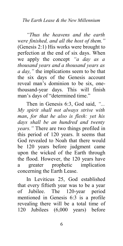## *The Earth Lease & the New Millennium*

*"Thus the heavens and the earth were finished, and all the host of them."* (Genesis 2:1) His works were brought to perfection at the end of six days. When we apply the concept *"a day as a thousand years and a thousand years as a day,"* the implications seem to be that the six days of the Genesis account reveal man's dominion to be six, onethousand-year days. This will finish man's days of "determined time."

Then in Genesis 6:3, God said, *"... My spirit shall not always strive with man*, *for that he also is flesh: yet his days shall be an hundred and twenty years."* There are two things profiled in this period of 120 years. It seems that God revealed to Noah that there would be 120 years before judgment came upon the wicked of the Earth through the flood. However, the 120 years have a greater prophetic implication concerning the Earth Lease.

In Leviticus 25, God established that every fiftieth year was to be a year of Jubilee. The 120-year period mentioned in Genesis 6:3 is a profile revealing there will be a total time of 120 Jubilees (6,000 years) before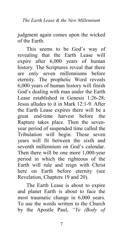judgment again comes upon the wicked of the Earth.

This seems to be God's way of revealing that the Earth Lease will expire after 6,000 years of human history. The Scriptures reveal that there are only seven millenniums before eternity. The prophetic Word reveals 6,000 years of human history will finish God's dealing with man under the Earth Lease established in Genesis 1:26-28; Jesus alludes to it in Mark 12:1-9. After the Earth Lease expires there will be a great end-time harvest before the Rapture takes place. Then the sevenyear period of suspended time called the Tribulation will begin. Those seven years will fit between the sixth and seventh millennium on God's calendar. Then there will be one more 1,000-year period in which the righteous of the Earth will rule and reign with Christ here on Earth before eternity (see Revelation, Chapters 19 and 20).

The Earth Lease is about to expire and planet Earth is about to face the most traumatic change in 6,000 years. To use the words written to the Church by the Apostle Paul, *"Ye (Body of*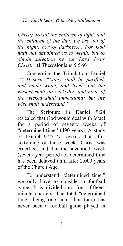*Christ) are all the children of light, and the children of the day: we are not of the night, nor of darkness... For God hath not appointed us to wrath, but to obtain salvation by our Lord Jesus Christ."* (I Thessalonians 5:5-9)

Concerning the Tribulation, Daniel 12:10 says, "*Many shall be purified, and made white, and tried; but the wicked shall do wickedly: and none of the wicked shall understand; but the wise shall understand."*

The Scripture in Daniel 9:24 revealed that God would deal with Israel for a period of seventy weeks of "determined time" (490 years). A study of Daniel 9:25-27 reveals that after sixty-nine of those weeks Christ was crucified, and that the seventieth week (seven- year period) of determined time has been delayed until after 2,000 years of the Church Age.

To understand "determined time," we only have to consider a football game. It is divided into four, fifteenminute quarters. The total "determined time" being one hour, but there has never been a football game played in

8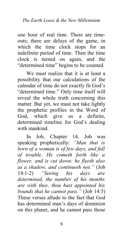one hour of real time. There are timeouts; there are delays of the game, in which the time clock stops for an indefinite period of time. Then the time clock is turned on again, and the "determined time" begins to be counted.

We must realize that it is at least a possibility that our calculations of the calendar of time do not exactly fit God's "determined time." Only time itself will reveal the whole truth concerning this matter. But yet, we must not take lightly the prophetic profiles in the Word of God, which give us a definite, determined timeline for God's dealing with mankind.

In Job, Chapter 14, Job was speaking prophetically: *"Man that is born of a woman is of few days, and full of trouble. He cometh forth like a flower, and is cut down: he fleeth also as a shadow, and continueth not."* (Job 14:1-2) *"Seeing his days are determined, the number of his months are with thee, thou hast appointed his bounds that he cannot pass."* (Job 14:5) These verses allude to the fact that God has determined man's days of dominion on this planet, and he cannot pass those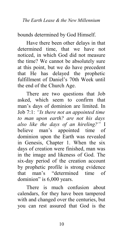bounds determined by God Himself.

Have there been other delays in that determined time, that we have not noticed, in which God did not measure the time? We cannot be absolutely sure at this point, but we do have precedent that He has delayed the prophetic fulfillment of Daniel's 70th Week until the end of the Church Age.

There are two questions that Job asked, which seem to confirm that man's days of dominion are limited. In Job 7:1: *"Is there not an appointed time to man upon earth? are not his days also like the days of an hireling?"* I believe man's appointed time of dominion upon the Earth was revealed in Genesis, Chapter 1. When the six days of creation were finished, man was in the image and likeness of God. The six-day period of the creation account by prophetic profile is strong evidence that man's "determined time of dominion" is 6,000 years.

There is much confusion about calendars, for they have been tampered with and changed over the centuries, but you can rest assured that God is the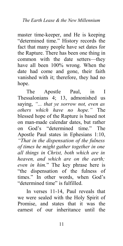master time-keeper, and He is keeping "determined time." History records the fact that many people have set dates for the Rapture. There has been one thing in common with the date setters—they have all been 100% wrong. When the date had come and gone, their faith vanished with it; therefore, they had no hope.

The Apostle Paul, in I Thessalonians 4; 13, admonished us saying, *"... that ye sorrow not, even as others which have no hope."* The blessed hope of the Rapture is based not on man-made calendar dates, but rather on God's "determined time." The Apostle Paul states in Ephesians 1:10, *"That in the dispensation of the fulness of times he might gather together in one all things in Christ, both which are in heaven, and which are on the earth; even in him.*" The key phrase here is "the dispensation of the fulness of times." In other words, when God's "determined time" is fulfilled.

In verses 11-14, Paul reveals that we were sealed with the Holy Spirit of Promise, and states that it was the earnest of our inheritance until the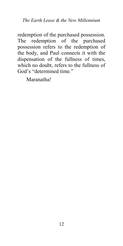redemption of the purchased possession. The redemption of the purchased possession refers to the redemption of the body, and Paul connects it with the dispensation of the fullness of times, which no doubt, refers to the fullness of God's "determined time."

Maranatha!